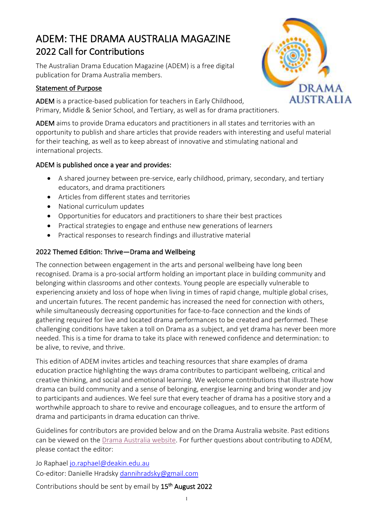# ADEM: THE DRAMA AUSTRALIA MAGAZINE 2022 Call for Contributions

The Australian Drama Education Magazine (ADEM) is a free digital publication for Drama Australia members.

## Statement of Purpose

ADEM is a practice-based publication for teachers in Early Childhood, Primary, Middle & Senior School, and Tertiary, as well as for drama practitioners.

ADEM aims to provide Drama educators and practitioners in all states and territories with an opportunity to publish and share articles that provide readers with interesting and useful material for their teaching, as well as to keep abreast of innovative and stimulating national and international projects.

### ADEM is published once a year and provides:

- A shared journey between pre-service, early childhood, primary, secondary, and tertiary educators, and drama practitioners
- Articles from different states and territories
- National curriculum updates
- Opportunities for educators and practitioners to share their best practices
- Practical strategies to engage and enthuse new generations of learners
- Practical responses to research findings and illustrative material

# 2022 Themed Edition: Thrive—Drama and Wellbeing

The connection between engagement in the arts and personal wellbeing have long been recognised. Drama is a pro-social artform holding an important place in building community and belonging within classrooms and other contexts. Young people are especially vulnerable to experiencing anxiety and loss of hope when living in times of rapid change, multiple global crises, and uncertain futures. The recent pandemic has increased the need for connection with others, while simultaneously decreasing opportunities for face-to-face connection and the kinds of gathering required for live and located drama performances to be created and performed. These challenging conditions have taken a toll on Drama as a subject, and yet drama has never been more needed. This is a time for drama to take its place with renewed confidence and determination: to be alive, to revive, and thrive.

This edition of ADEM invites articles and teaching resources that share examples of drama education practice highlighting the ways drama contributes to participant wellbeing, critical and creative thinking, and social and emotional learning. We welcome contributions that illustrate how drama can build community and a sense of belonging, energise learning and bring wonder and joy to participants and audiences. We feel sure that every teacher of drama has a positive story and a worthwhile approach to share to revive and encourage colleagues, and to ensure the artform of drama and participants in drama education can thrive.

Guidelines for contributors are provided below and on the Drama Australia website. Past editions can be viewed on the Drama Australia website. For further questions about contributing to ADEM, please contact the editor:

Jo Raphael jo.raphael@deakin.edu.au Co-editor: Danielle Hradsky dannihradsky@gmail.com

Contributions should be sent by email by 15<sup>th</sup> August 2022